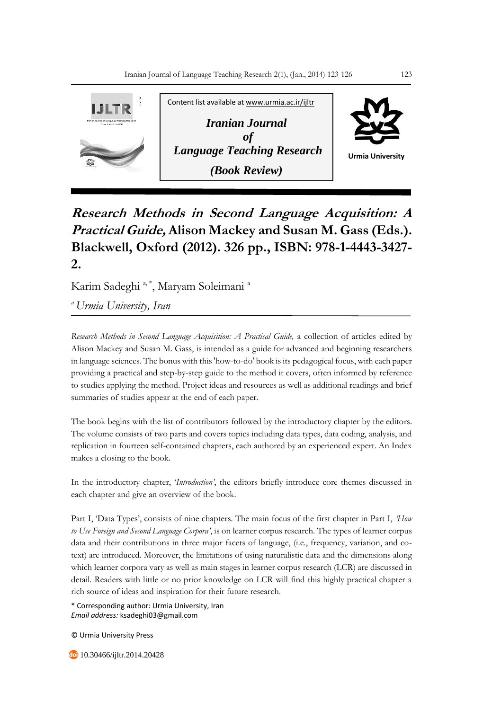

## **Research Methods in Second Language Acquisition: A Practical Guide, Alison Mackey and Susan M. Gass (Eds.). Blackwell, Oxford (2012). 326 pp., ISBN: 978-1-4443-3427- 2.**

Karim Sadeghi<sup>a, \*</sup>, Maryam Soleimani<sup>a</sup>

*<sup>a</sup>Urmia University, Iran*

*Research Methods in Second Language Acquisition: A Practical Guide,* a collection of articles edited by Alison Mackey and Susan M. Gass, is intended as a guide for advanced and beginning researchers in language sciences. The bonus with this 'how-to-do' book is its pedagogical focus, with each paper providing a practical and step-by-step guide to the method it covers, often informed by reference to studies applying the method. Project ideas and resources as well as additional readings and brief summaries of studies appear at the end of each paper.

The book begins with the list of contributors followed by the introductory chapter by the editors. The volume consists of two parts and covers topics including data types, data coding, analysis, and replication in fourteen self-contained chapters, each authored by an experienced expert. An Index makes a closing to the book.

In the introductory chapter, '*Introduction'*, the editors briefly introduce core themes discussed in each chapter and give an overview of the book.

Part I, 'Data Types', consists of nine chapters. The main focus of the first chapter in Part I, *'How to Use Foreign and Second Language Corpora'*, is on learner corpus research. The types of learner corpus data and their contributions in three major facets of language, (i.e., frequency, variation, and cotext) are introduced. Moreover, the limitations of using naturalistic data and the dimensions along which learner corpora vary as well as main stages in learner corpus research (LCR) are discussed in detail. Readers with little or no prior knowledge on LCR will find this highly practical chapter a rich source of ideas and inspiration for their future research.

\* Corresponding author: Urmia University, Iran *Email address:* ksadeghi03@gmail.com

© Urmia University Press

10.30466/ijltr.2014.20428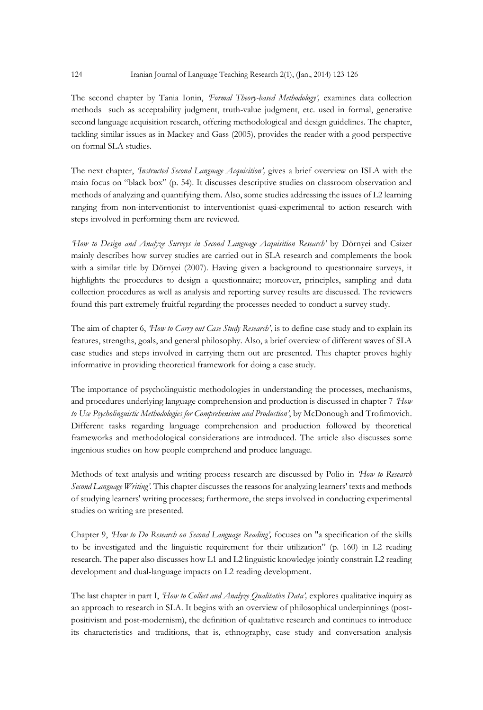The second chapter by Tania Ionin, *'Formal Theory-based Methodology',* examines data collection methods such as acceptability judgment, truth-value judgment, etc. used in formal, generative second language acquisition research, offering methodological and design guidelines. The chapter, tackling similar issues as in Mackey and Gass (2005), provides the reader with a good perspective on formal SLA studies.

The next chapter, *'Instructed Second Language Acquisition',* gives a brief overview on ISLA with the main focus on "black box" (p. 54). It discusses descriptive studies on classroom observation and methods of analyzing and quantifying them. Also, some studies addressing the issues of L2 learning ranging from non-interventionist to interventionist quasi-experimental to action research with steps involved in performing them are reviewed.

*'How to Design and Analyze Surveys in Second Language Acquisition Research'* by Dörnyei and Csizer mainly describes how survey studies are carried out in SLA research and complements the book with a similar title by Dörnyei (2007). Having given a background to questionnaire surveys, it highlights the procedures to design a questionnaire; moreover, principles, sampling and data collection procedures as well as analysis and reporting survey results are discussed. The reviewers found this part extremely fruitful regarding the processes needed to conduct a survey study.

The aim of chapter 6, *'How to Carry out Case Study Research'*, is to define case study and to explain its features, strengths, goals, and general philosophy. Also, a brief overview of different waves of SLA case studies and steps involved in carrying them out are presented. This chapter proves highly informative in providing theoretical framework for doing a case study.

The importance of psycholinguistic methodologies in understanding the processes, mechanisms, and procedures underlying language comprehension and production is discussed in chapter 7 *'How to Use Psycholinguistic Methodologies for Comprehension and Production'*, by McDonough and Trofimovich. Different tasks regarding language comprehension and production followed by theoretical frameworks and methodological considerations are introduced. The article also discusses some ingenious studies on how people comprehend and produce language.

Methods of text analysis and writing process research are discussed by Polio in *'How to Research Second Language Writing'.* This chapter discusses the reasons for analyzing learners' texts and methods of studying learners' writing processes; furthermore, the steps involved in conducting experimental studies on writing are presented.

Chapter 9, *'How to Do Research on Second Language Reading',* focuses on "a specification of the skills to be investigated and the linguistic requirement for their utilization" (p. 160) in L2 reading research. The paper also discusses how L1 and L2 linguistic knowledge jointly constrain L2 reading development and dual-language impacts on L2 reading development.

The last chapter in part I, *'How to Collect and Analyze Qualitative Data',* explores qualitative inquiry as an approach to research in SLA. It begins with an overview of philosophical underpinnings (postpositivism and post-modernism), the definition of qualitative research and continues to introduce its characteristics and traditions, that is, ethnography, case study and conversation analysis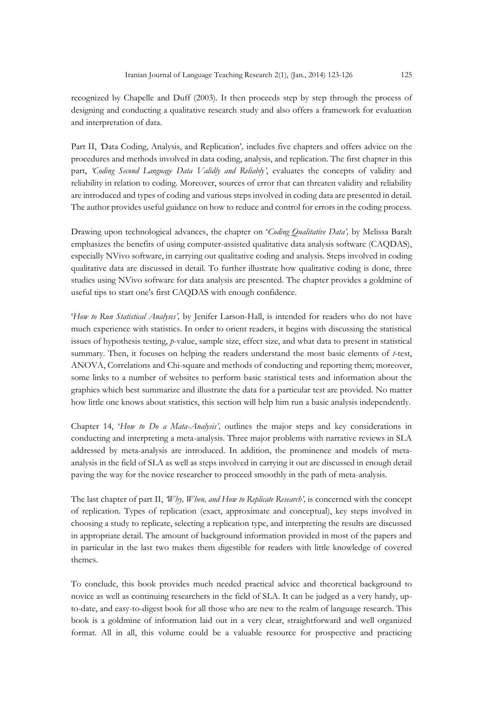recognized by Chapelle and Duff (2003). It then proceeds step by step through the process of designing and conducting a qualitative research study and also offers a framework for evaluation and interpretation of data.

Part II, *'*Data Coding, Analysis, and Replication'*,* includes five chapters and offers advice on the procedures and methods involved in data coding, analysis, and replication. The first chapter in this part, *'Coding Second Language Data Validly and Reliably'*, evaluates the concepts of validity and reliability in relation to coding. Moreover, sources of error that can threaten validity and reliability are introduced and types of coding and various steps involved in coding data are presented in detail. The author provides useful guidance on how to reduce and control for errors in the coding process.

Drawing upon technological advances, the chapter on '*Coding Qualitative Data',* by Melissa Baralt emphasizes the benefits of using computer-assisted qualitative data analysis software (CAQDAS), especially NVivo software, in carrying out qualitative coding and analysis. Steps involved in coding qualitative data are discussed in detail. To further illustrate how qualitative coding is done, three studies using NVivo software for data analysis are presented. The chapter provides a goldmine of useful tips to start one's first CAQDAS with enough confidence.

'*How to Run Statistical Analyses',* by Jenifer Larson-Hall, is intended for readers who do not have much experience with statistics. In order to orient readers, it begins with discussing the statistical issues of hypothesis testing, *p*-value, sample size, effect size, and what data to present in statistical summary. Then, it focuses on helping the readers understand the most basic elements of *t*-test, ANOVA, Correlations and Chi-square and methods of conducting and reporting them; moreover, some links to a number of websites to perform basic statistical tests and information about the graphics which best summarize and illustrate the data for a particular test are provided. No matter how little one knows about statistics, this section will help him run a basic analysis independently.

Chapter 14, '*How to Do a Mata-Analysis',* outlines the major steps and key considerations in conducting and interpreting a meta-analysis. Three major problems with narrative reviews in SLA addressed by meta-analysis are introduced. In addition, the prominence and models of metaanalysis in the field of SLA as well as steps involved in carrying it out are discussed in enough detail paving the way for the novice researcher to proceed smoothly in the path of meta-analysis.

The last chapter of part II, *'Why, When, and How to Replicate Research',* is concerned with the concept of replication. Types of replication (exact, approximate and conceptual), key steps involved in choosing a study to replicate, selecting a replication type, and interpreting the results are discussed in appropriate detail. The amount of background information provided in most of the papers and in particular in the last two makes them digestible for readers with little knowledge of covered themes.

To conclude, this book provides much needed practical advice and theoretical background to novice as well as continuing researchers in the field of SLA. It can be judged as a very handy, upto-date, and easy-to-digest book for all those who are new to the realm of language research. This book is a goldmine of information laid out in a very clear, straightforward and well organized format. All in all, this volume could be a valuable resource for prospective and practicing